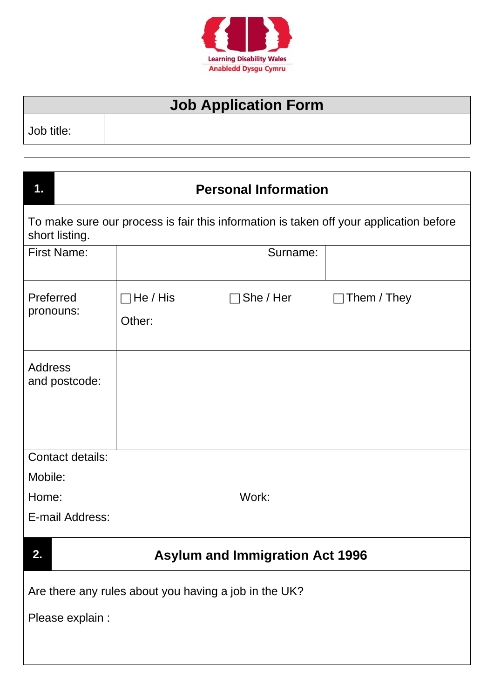

## **Job Application Form**

Job title:

 $\overline{\phantom{a}}$ 

| 1.                                 |                                                       | <b>Personal Information</b>            |                                                                                        |
|------------------------------------|-------------------------------------------------------|----------------------------------------|----------------------------------------------------------------------------------------|
| short listing.                     |                                                       |                                        | To make sure our process is fair this information is taken off your application before |
| <b>First Name:</b>                 |                                                       | Surname:                               |                                                                                        |
| Preferred<br>pronouns:             | $\Box$ He / His<br>Other:                             | She / Her                              | Them / They                                                                            |
| <b>Address</b><br>and postcode:    |                                                       |                                        |                                                                                        |
| <b>Contact details:</b><br>Mobile: |                                                       |                                        |                                                                                        |
| Home:<br>E-mail Address:           |                                                       | Work:                                  |                                                                                        |
| 2.                                 |                                                       | <b>Asylum and Immigration Act 1996</b> |                                                                                        |
| Please explain :                   | Are there any rules about you having a job in the UK? |                                        |                                                                                        |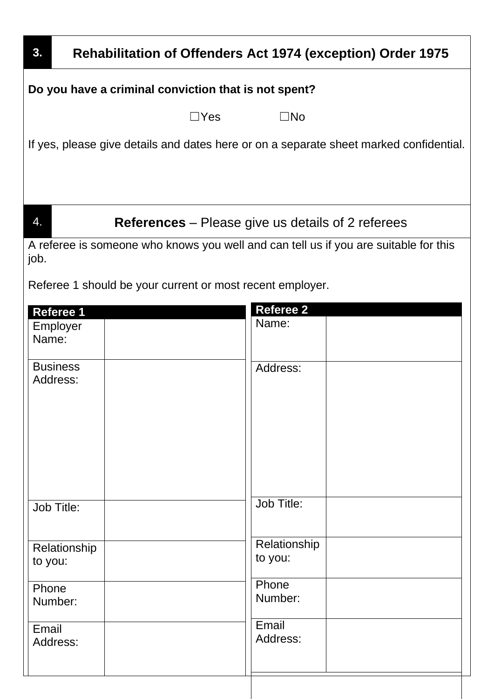| 3.                          | <b>Rehabilitation of Offenders Act 1974 (exception) Order 1975</b>                     |                           |  |
|-----------------------------|----------------------------------------------------------------------------------------|---------------------------|--|
|                             | Do you have a criminal conviction that is not spent?                                   |                           |  |
|                             | $\Box$ Yes                                                                             | $\square$ No              |  |
|                             | If yes, please give details and dates here or on a separate sheet marked confidential. |                           |  |
|                             |                                                                                        |                           |  |
| 4.                          | <b>References</b> – Please give us details of 2 referees                               |                           |  |
| job.                        | A referee is someone who knows you well and can tell us if you are suitable for this   |                           |  |
|                             | Referee 1 should be your current or most recent employer.                              |                           |  |
| <b>Referee 1</b>            |                                                                                        | <b>Referee 2</b><br>Name: |  |
| Employer<br>Name:           |                                                                                        |                           |  |
| <b>Business</b><br>Address: |                                                                                        | Address:                  |  |
|                             |                                                                                        |                           |  |
|                             |                                                                                        |                           |  |
|                             |                                                                                        |                           |  |
| Job Title:                  |                                                                                        | Job Title:                |  |
|                             |                                                                                        |                           |  |
| Relationship<br>to you:     |                                                                                        | Relationship<br>to you:   |  |
| Phone<br>Number:            |                                                                                        | Phone<br>Number:          |  |
| Email<br>Address:           |                                                                                        | Email<br>Address:         |  |
|                             |                                                                                        |                           |  |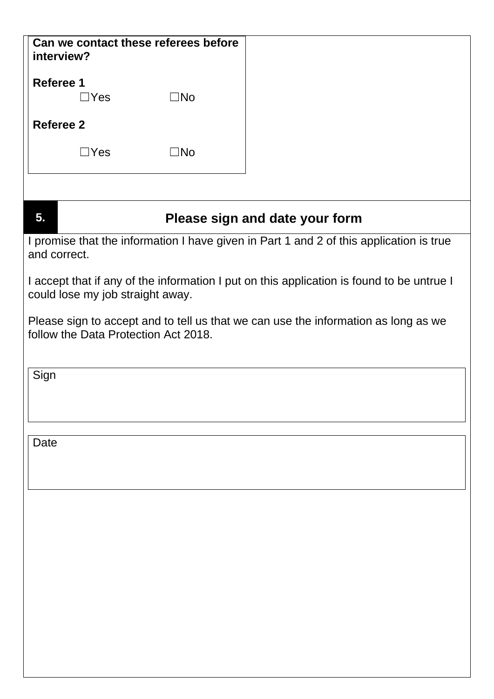| Can we contact these referees before                                                                                          |                                |
|-------------------------------------------------------------------------------------------------------------------------------|--------------------------------|
| interview?                                                                                                                    |                                |
| <b>Referee 1</b><br>$\square$ No<br>$\Box$ Yes                                                                                |                                |
| <b>Referee 2</b>                                                                                                              |                                |
| $\Box$ Yes<br>$\Box$ No                                                                                                       |                                |
|                                                                                                                               |                                |
| 5.                                                                                                                            | Please sign and date your form |
| I promise that the information I have given in Part 1 and 2 of this application is true<br>and correct.                       |                                |
| I accept that if any of the information I put on this application is found to be untrue I<br>could lose my job straight away. |                                |
| Please sign to accept and to tell us that we can use the information as long as we<br>follow the Data Protection Act 2018.    |                                |
| Sign                                                                                                                          |                                |
|                                                                                                                               |                                |
| Date                                                                                                                          |                                |
|                                                                                                                               |                                |
|                                                                                                                               |                                |
|                                                                                                                               |                                |
|                                                                                                                               |                                |
|                                                                                                                               |                                |
|                                                                                                                               |                                |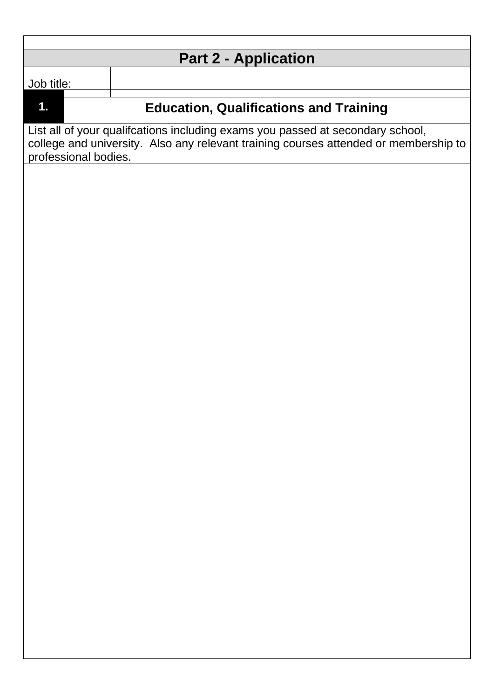| <b>Part 2 - Application</b>                                                                                                                                                                    |                                               |  |
|------------------------------------------------------------------------------------------------------------------------------------------------------------------------------------------------|-----------------------------------------------|--|
| Job title:                                                                                                                                                                                     |                                               |  |
| $\mathbf 1$ .                                                                                                                                                                                  | <b>Education, Qualifications and Training</b> |  |
| List all of your qualifcations including exams you passed at secondary school,<br>college and university. Also any relevant training courses attended or membership to<br>professional bodies. |                                               |  |
|                                                                                                                                                                                                |                                               |  |
|                                                                                                                                                                                                |                                               |  |
|                                                                                                                                                                                                |                                               |  |
|                                                                                                                                                                                                |                                               |  |
|                                                                                                                                                                                                |                                               |  |
|                                                                                                                                                                                                |                                               |  |
|                                                                                                                                                                                                |                                               |  |
|                                                                                                                                                                                                |                                               |  |
|                                                                                                                                                                                                |                                               |  |
|                                                                                                                                                                                                |                                               |  |
|                                                                                                                                                                                                |                                               |  |
|                                                                                                                                                                                                |                                               |  |
|                                                                                                                                                                                                |                                               |  |
|                                                                                                                                                                                                |                                               |  |
|                                                                                                                                                                                                |                                               |  |
|                                                                                                                                                                                                |                                               |  |
|                                                                                                                                                                                                |                                               |  |
|                                                                                                                                                                                                |                                               |  |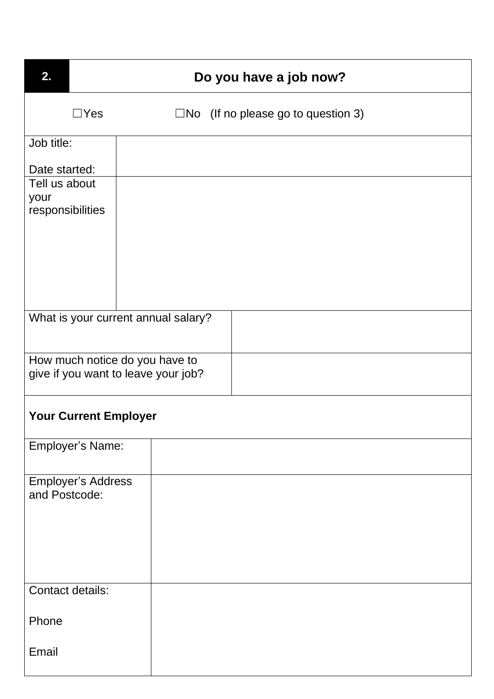| 2.                                         | Do you have a job now? |                                     |                                              |
|--------------------------------------------|------------------------|-------------------------------------|----------------------------------------------|
|                                            | $\Box$ Yes             |                                     | $\square$ No (If no please go to question 3) |
| Job title:                                 |                        |                                     |                                              |
| Date started:                              |                        |                                     |                                              |
| Tell us about<br>your                      |                        |                                     |                                              |
| responsibilities                           |                        |                                     |                                              |
|                                            |                        |                                     |                                              |
|                                            |                        | What is your current annual salary? |                                              |
| How much notice do you have to             |                        |                                     |                                              |
| give if you want to leave your job?        |                        |                                     |                                              |
| <b>Your Current Employer</b>               |                        |                                     |                                              |
| Employer's Name:                           |                        |                                     |                                              |
| <b>Employer's Address</b><br>and Postcode: |                        |                                     |                                              |
| Contact details:                           |                        |                                     |                                              |
| Phone                                      |                        |                                     |                                              |
| Email                                      |                        |                                     |                                              |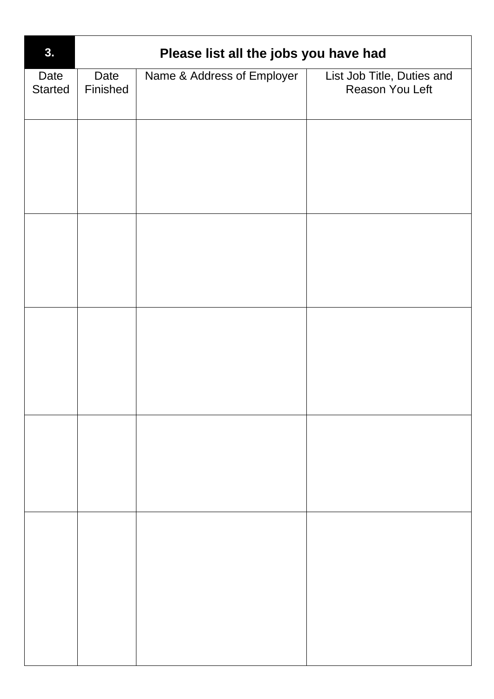| Name & Address of Employer<br>List Job Title, Duties and<br>Date<br>Date<br><b>Started</b><br>Finished<br>Reason You Left |  |
|---------------------------------------------------------------------------------------------------------------------------|--|
|                                                                                                                           |  |
|                                                                                                                           |  |
|                                                                                                                           |  |
|                                                                                                                           |  |
|                                                                                                                           |  |
|                                                                                                                           |  |
|                                                                                                                           |  |
|                                                                                                                           |  |
|                                                                                                                           |  |
|                                                                                                                           |  |
|                                                                                                                           |  |
|                                                                                                                           |  |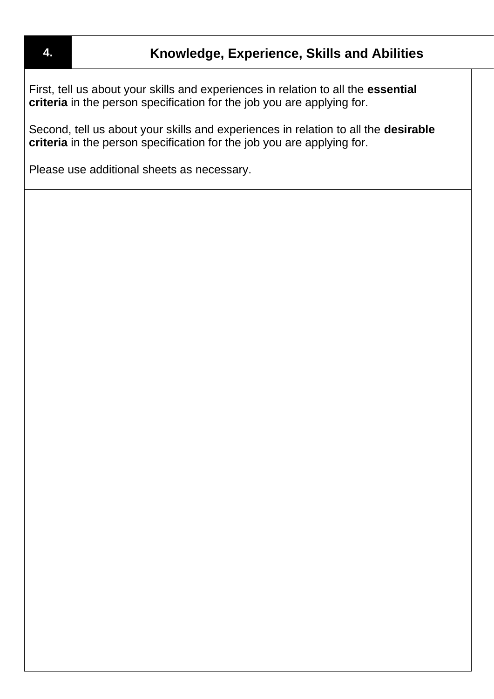First, tell us about your skills and experiences in relation to all the **essential criteria** in the person specification for the job you are applying for.

Second, tell us about your skills and experiences in relation to all the **desirable criteria** in the person specification for the job you are applying for.

Please use additional sheets as necessary.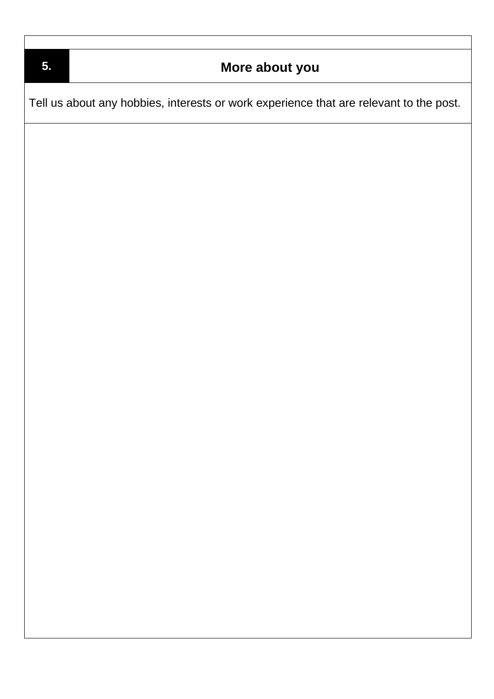| 5. | More about you                                                                         |
|----|----------------------------------------------------------------------------------------|
|    | Tell us about any hobbies, interests or work experience that are relevant to the post. |
|    |                                                                                        |
|    |                                                                                        |
|    |                                                                                        |
|    |                                                                                        |
|    |                                                                                        |
|    |                                                                                        |
|    |                                                                                        |
|    |                                                                                        |
|    |                                                                                        |
|    |                                                                                        |
|    |                                                                                        |
|    |                                                                                        |
|    |                                                                                        |
|    |                                                                                        |
|    |                                                                                        |
|    |                                                                                        |